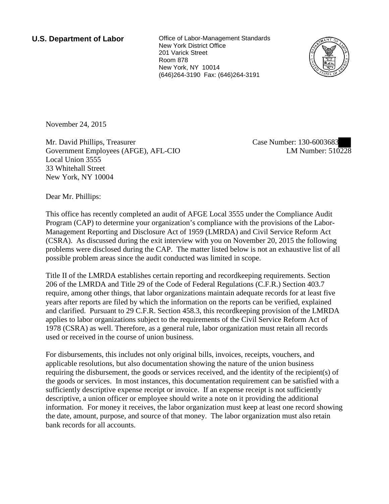**U.S. Department of Labor Office of Labor-Management Standards** New York District Office 201 Varick Street Room 878 New York, NY 10014 (646)264-3190 Fax: (646)264-3191



November 24, 2015

Mr. David Phillips, Treasurer Government Employees (AFGE), AFL-CIO Local Union 3555 33 Whitehall Street New York, NY 10004

Case Number: 130-6003683 LM Number: 510228

Dear Mr. Phillips:

This office has recently completed an audit of AFGE Local 3555 under the Compliance Audit Program (CAP) to determine your organization's compliance with the provisions of the Labor-Management Reporting and Disclosure Act of 1959 (LMRDA) and Civil Service Reform Act (CSRA). As discussed during the exit interview with you on November 20, 2015 the following problems were disclosed during the CAP. The matter listed below is not an exhaustive list of all possible problem areas since the audit conducted was limited in scope.

Title II of the LMRDA establishes certain reporting and recordkeeping requirements. Section 206 of the LMRDA and Title 29 of the Code of Federal Regulations (C.F.R.) Section 403.7 require, among other things, that labor organizations maintain adequate records for at least five years after reports are filed by which the information on the reports can be verified, explained and clarified. Pursuant to 29 C.F.R. Section 458.3, this recordkeeping provision of the LMRDA applies to labor organizations subject to the requirements of the Civil Service Reform Act of 1978 (CSRA) as well. Therefore, as a general rule, labor organization must retain all records used or received in the course of union business.

For disbursements, this includes not only original bills, invoices, receipts, vouchers, and applicable resolutions, but also documentation showing the nature of the union business requiring the disbursement, the goods or services received, and the identity of the recipient(s) of the goods or services. In most instances, this documentation requirement can be satisfied with a sufficiently descriptive expense receipt or invoice. If an expense receipt is not sufficiently descriptive, a union officer or employee should write a note on it providing the additional information. For money it receives, the labor organization must keep at least one record showing the date, amount, purpose, and source of that money. The labor organization must also retain bank records for all accounts.